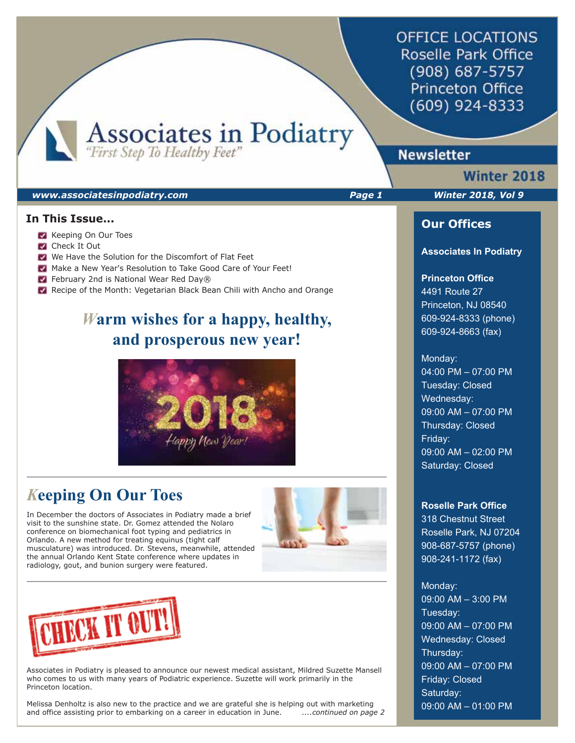**OFFICE LOCATIONS** Roselle Park Office (908) 687-5757 **Princeton Office** (609) 924-8333

Associates in Podiatry

# **Newsletter**

#### *www.associatesinpodiatry.com Page 1 Winter 2018, Vol 9*

## **In This Issue...**

- Keeping On Our Toes
- **Check It Out**
- We Have the Solution for the Discomfort of Flat Feet
- Make a New Year's Resolution to Take Good Care of Your Feet!
- February 2nd is National Wear Red Day®
- Recipe of the Month: Vegetarian Black Bean Chili with Ancho and Orange

# *W***arm wishes for a happy, healthy, and prosperous new year!**



# *K***eeping On Our Toes**

In December the doctors of Associates in Podiatry made a brief visit to the sunshine state. Dr. Gomez attended the Nolaro conference on biomechanical foot typing and pediatrics in Orlando. A new method for treating equinus (tight calf musculature) was introduced. Dr. Stevens, meanwhile, attended the annual Orlando Kent State conference where updates in radiology, gout, and bunion surgery were featured.





Associates in Podiatry is pleased to announce our newest medical assistant, Mildred Suzette Mansell who comes to us with many years of Podiatric experience. Suzette will work primarily in the Princeton location.

Melissa Denholtz is also new to the practice and we are grateful she is helping out with marketing and office assisting prior to embarking on a career in education in June. *....continued on page 2*

**Winter 2018** 

## **Our Offices**

#### **Associates In Podiatry**

## **Princeton Office**

4491 Route 27 Princeton, NJ 08540 609-924-8333 (phone) 609-924-8663 (fax)

#### Monday:

04:00 PM – 07:00 PM Tuesday: Closed Wednesday: 09:00 AM – 07:00 PM Thursday: Closed Friday: 09:00 AM – 02:00 PM Saturday: Closed

### **Roselle Park Office**

318 Chestnut Street Roselle Park, NJ 07204 908-687-5757 (phone) 908-241-1172 (fax)

# Monday:

09:00 AM – 3:00 PM Tuesday: 09:00 AM – 07:00 PM Wednesday: Closed Thursday: 09:00 AM – 07:00 PM Friday: Closed Saturday: 09:00 AM – 01:00 PM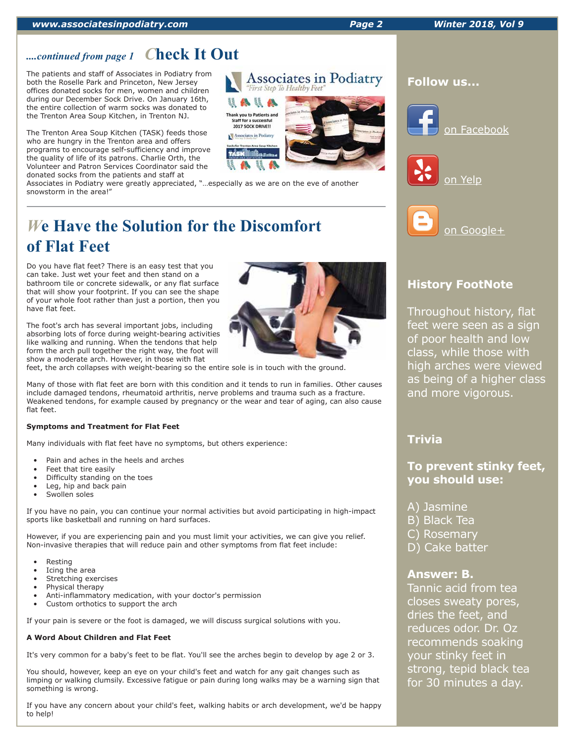#### *www.associatesinpodiatry.com Page 2 Winter 2018, Vol 9*

# *....continued from page 1 C***heck It Out**

The patients and staff of Associates in Podiatry from both the Roselle Park and Princeton, New Jersey offices donated socks for men, women and children during our December Sock Drive. On January 16th, the entire collection of warm socks was donated to the Trenton Area Soup Kitchen, in Trenton NJ.

The Trenton Area Soup Kitchen (TASK) feeds those who are hungry in the Trenton area and offers programs to encourage self-sufficiency and improve the quality of life of its patrons. Charlie Orth, the Volunteer and Patron Services Coordinator said the donated socks from the patients and staff at

Associates in Podiatry were greatly appreciated, "…especially as we are on the eve of another snowstorm in the area!"

# *W***e Have the Solution for the Discomfort of Flat Feet**

Do you have flat feet? There is an easy test that you can take. Just wet your feet and then stand on a bathroom tile or concrete sidewalk, or any flat surface that will show your footprint. If you can see the shape of your whole foot rather than just a portion, then you have flat feet.

The foot's arch has several important jobs, including absorbing lots of force during weight-bearing activities like walking and running. When the tendons that help form the arch pull together the right way, the foot will show a moderate arch. However, in those with flat

feet, the arch collapses with weight-bearing so the entire sole is in touch with the ground.

Many of those with flat feet are born with this condition and it tends to run in families. Other causes include damaged tendons, rheumatoid arthritis, nerve problems and trauma such as a fracture. Weakened tendons, for example caused by pregnancy or the wear and tear of aging, can also cause flat feet.

### **Symptoms and Treatment for Flat Feet**

Many individuals with flat feet have no symptoms, but others experience:

- Pain and aches in the heels and arches
- Feet that tire easily
- Difficulty standing on the toes
- Leg, hip and back pain
- Swollen soles

If you have no pain, you can continue your normal activities but avoid participating in high-impact sports like basketball and running on hard surfaces.

However, if you are experiencing pain and you must limit your activities, we can give you relief. Non-invasive therapies that will reduce pain and other symptoms from flat feet include:

- Resting
- Icing the area
- Stretching exercises
- Physical therapy
- Anti-inflammatory medication, with your doctor's permission
- Custom orthotics to support the arch

If your pain is severe or the foot is damaged, we will discuss surgical solutions with you.

## **A Word About Children and Flat Feet**

It's very common for a baby's feet to be flat. You'll see the arches begin to develop by age 2 or 3.

You should, however, keep an eye on your child's feet and watch for any gait changes such as limping or walking clumsily. Excessive fatigue or pain during long walks may be a warning sign that something is wrong.

If you have any concern about your child's feet, walking habits or arch development, we'd be happy to help!

# **History FootNote**

on Google+

Throughout history, flat feet were seen as a sign of poor health and low class, while those with high arches were viewed as being of a higher class and more vigorous.

# **Trivia**

**To prevent stinky feet, you should use:** 

- A) Jasmine
- B) Black Tea
- C) Rosemary
- D) Cake batter

## **Answer: B.**

Tannic acid from tea closes sweaty pores, dries the feet, and reduces odor. Dr. Oz recommends soaking your stinky feet in strong, tepid black tea for 30 minutes a day.



# **Follow us...**







**Associates in Podiatry** 

First Step To Health

● 【 ▲ Thank you to Patients and Staff for a successful<br>2017 SOCK DRIVE!! ociates in Podiatry

Reasons.

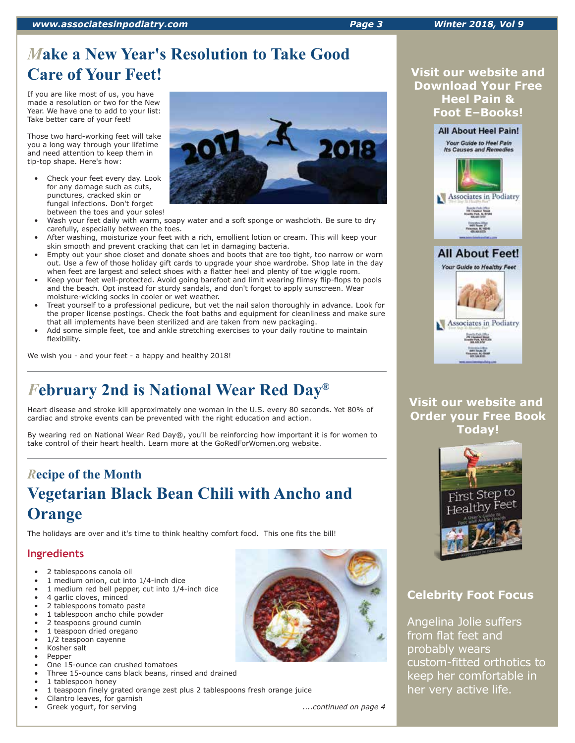## *www.associatesinpodiatry.com Page 3 Winter 2018, Vol 9*

# *M***ake a New Year's Resolution to Take Good Care of Your Feet!**

If you are like most of us, you have made a resolution or two for the New Year. We have one to add to your list: Take better care of your feet!

Those two hard-working feet will take you a long way through your lifetime and need attention to keep them in tip-top shape. Here's how:

- Check your feet every day. Look for any damage such as cuts, punctures, cracked skin or fungal infections. Don't forget between the toes and your soles!
- Wash your feet daily with warm, soapy water and a soft sponge or washcloth. Be sure to dry carefully, especially between the toes.
- After washing, moisturize your feet with a rich, emollient lotion or cream. This will keep your skin smooth and prevent cracking that can let in damaging bacteria.
- Empty out your shoe closet and donate shoes and boots that are too tight, too narrow or worn out. Use a few of those holiday gift cards to upgrade your shoe wardrobe. Shop late in the day when feet are largest and select shoes with a flatter heel and plenty of toe wiggle room.
- Keep your feet well-protected. Avoid going barefoot and limit wearing flimsy flip-flops to pools and the beach. Opt instead for sturdy sandals, and don't forget to apply sunscreen. Wear moisture-wicking socks in cooler or wet weather.
- Treat yourself to a professional pedicure, but vet the nail salon thoroughly in advance. Look for the proper license postings. Check the foot baths and equipment for cleanliness and make sure that all implements have been sterilized and are taken from new packaging.
- Add some simple feet, toe and ankle stretching exercises to your daily routine to maintain flexibility.

We wish you - and your feet - a happy and healthy 2018!

# *F***ebruary 2nd is National Wear Red Day®**

Heart disease and stroke kill approximately one woman in the U.S. every 80 seconds. Yet 80% of cardiac and stroke events can be prevented with the right education and action.

By wearing red on National Wear Red Day®, you'll be reinforcing how important it is for women to take control of their heart health. Learn more at the GoRedForWomen.org website.

# *R***ecipe of the Month Vegetarian Black Bean Chili with Ancho and Orange**

The holidays are over and it's time to think healthy comfort food. This one fits the bill!

# **Ingredients**

- 2 tablespoons canola oil
- 1 medium onion, cut into 1/4-inch dice
- 1 medium red bell pepper, cut into 1/4-inch dice
- 4 garlic cloves, minced
- 2 tablespoons tomato paste
- 1 tablespoon ancho chile powder
- 2 teaspoons ground cumin
- 1 teaspoon dried oregano 1/2 teaspoon cayenne
- Kosher salt
- Pepper
- One 15-ounce can crushed tomatoes
- Three 15-ounce cans black beans, rinsed and drained
- 1 tablespoon honey
- 1 teaspoon finely grated orange zest plus 2 tablespoons fresh orange juice
- Cilantro leaves, for garnish





## **Visit our website and Download Your Free Heel Pain & Foot E–Books!**



**Visit our website and Order your Free Book Today!**



# **Celebrity Foot Focus**

Angelina Jolie suffers from flat feet and probably wears custom-fitted orthotics to keep her comfortable in her very active life.